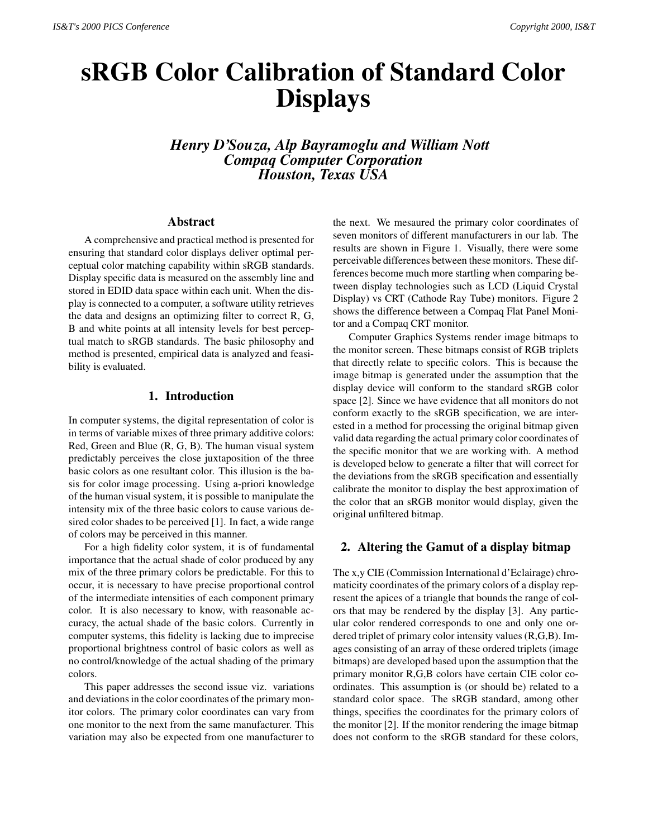# **sRGB Color Calibration of Standard Color Displays**

*Henry D'Souza, Alp Bayramoglu and William Nott Compaq Computer Corporation Houston, Texas USA*

#### **Abstract**

A comprehensive and practical method is presented for ensuring that standard color displays deliver optimal perceptual color matching capability within sRGB standards. Display specific data is measured on the assembly line and stored in EDID data space within each unit. When the display is connected to a computer, a software utility retrieves the data and designs an optimizing filter to correct R, G, B and white points at all intensity levels for best perceptual match to sRGB standards. The basic philosophy and method is presented, empirical data is analyzed and feasibility is evaluated.

## **1. Introduction**

In computer systems, the digital representation of color is in terms of variable mixes of three primary additive colors: Red, Green and Blue (R, G, B). The human visual system predictably perceives the close juxtaposition of the three basic colors as one resultant color. This illusion is the basis for color image processing. Using a-priori knowledge of the human visual system, it is possible to manipulate the intensity mix of the three basic colors to cause various desired color shades to be perceived [1]. In fact, a wide range of colors may be perceived in this manner.

For a high fidelity color system, it is of fundamental importance that the actual shade of color produced by any mix of the three primary colors be predictable. For this to occur, it is necessary to have precise proportional control of the intermediate intensities of each component primary color. It is also necessary to know, with reasonable accuracy, the actual shade of the basic colors. Currently in computer systems, this fidelity is lacking due to imprecise proportional brightness control of basic colors as well as no control/knowledge of the actual shading of the primary colors.

This paper addresses the second issue viz. variations and deviations in the color coordinates of the primary monitor colors. The primary color coordinates can vary from one monitor to the next from the same manufacturer. This variation may also be expected from one manufacturer to the next. We mesaured the primary color coordinates of seven monitors of different manufacturers in our lab. The results are shown in Figure 1. Visually, there were some perceivable differences between these monitors. These differences become much more startling when comparing between display technologies such as LCD (Liquid Crystal Display) vs CRT (Cathode Ray Tube) monitors. Figure 2 shows the difference between a Compaq Flat Panel Monitor and a Compaq CRT monitor.

Computer Graphics Systems render image bitmaps to the monitor screen. These bitmaps consist of RGB triplets that directly relate to specific colors. This is because the image bitmap is generated under the assumption that the display device will conform to the standard sRGB color space [2]. Since we have evidence that all monitors do not conform exactly to the sRGB specification, we are interested in a method for processing the original bitmap given valid data regarding the actual primary color coordinates of the specific monitor that we are working with. A method is developed below to generate a filter that will correct for the deviations from the sRGB specification and essentially calibrate the monitor to display the best approximation of the color that an sRGB monitor would display, given the original unfiltered bitmap.

# **2. Altering the Gamut of a display bitmap**

The x,y CIE (Commission International d'Eclairage) chromaticity coordinates of the primary colors of a display represent the apices of a triangle that bounds the range of colors that may be rendered by the display [3]. Any particular color rendered corresponds to one and only one ordered triplet of primary color intensity values (R,G,B). Images consisting of an array of these ordered triplets (image bitmaps) are developed based upon the assumption that the primary monitor R,G,B colors have certain CIE color coordinates. This assumption is (or should be) related to a standard color space. The sRGB standard, among other things, specifies the coordinates for the primary colors of the monitor [2]. If the monitor rendering the image bitmap does not conform to the sRGB standard for these colors,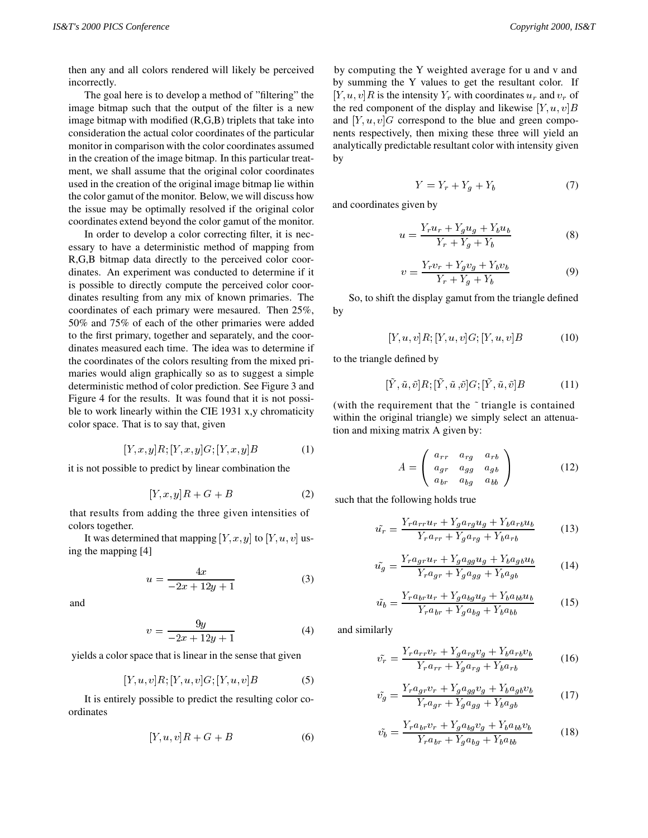then any and all colors rendered will likely be perceived incorrectly.

The goal here is to develop a method of "filtering" the image bitmap such that the output of the filter is a new image bitmap with modified (R,G,B) triplets that take into consideration the actual color coordinates of the particular monitor in comparison with the color coordinates assumed in the creation of the image bitmap. In this particular treatment, we shall assume that the original color coordinates used in the creation of the original image bitmap lie within the color gamut of the monitor. Below, we will discuss how the issue may be optimally resolved if the original color coordinates extend beyond the color gamut of the monitor.

In order to develop a color correcting filter, it is necessary to have a deterministic method of mapping from R,G,B bitmap data directly to the perceived color coordinates. An experiment was conducted to determine if it is possible to directly compute the perceived color coordinates resulting from any mix of known primaries. The coordinates of each primary were mesaured. Then 25%, 50% and 75% of each of the other primaries were added to the first primary, together and separately, and the coordinates measured each time. The idea was to determine if the coordinates of the colors resulting from the mixed primaries would align graphically so as to suggest a simple deterministic method of color prediction. See Figure 3 and Figure 4 for the results. It was found that it is not possible to work linearly within the CIE 1931 x,y chromaticity color space. That is to say that, given

$$
[Y, x, y]R; [Y, x, y]G; [Y, x, y]B \t(1)
$$

it is not possible to predict by linear combination the

$$
[Y, x, y]R + G + B \tag{2}
$$

that results from adding the three given intensities of colors together.

It was determined that mapping  $[Y, x, y]$  to  $[Y, u, v]$  using the mapping [4]

$$
u = \frac{4x}{-2x + 12y + 1} \tag{3}
$$

and

$$
v = \frac{9y}{-2x + 12y + 1} \tag{4}
$$

yields a color space that is linear in the sense that given

$$
[Y, u, v]R; [Y, u, v]G; [Y, u, v]B \tag{5}
$$

It is entirely possible to predict the resulting color coordinates

$$
[Y, u, v]R + G + B \tag{6}
$$

by computing the Y weighted average for u and v and by summing the Y values to get the resultant color. If [Y, u, v]R is the intensity  $Y_r$  with coordinates  $u_r$  and  $v_r$  of the red component of the display and likewise  $[Y, u, v]$ B and  $[Y, u, v]$ G correspond to the blue and green components respectively, then mixing these three will yield an analytically predictable resultant color with intensity given by

$$
Y = Y_r + Y_g + Y_b \tag{7}
$$

and coordinates given by

$$
u = \frac{Y_r u_r + Y_g u_g + Y_b u_b}{Y_r + Y_g + Y_b} \tag{8}
$$

$$
v = \frac{Y_r v_r + Y_g v_g + Y_b v_b}{Y_r + Y_g + Y_b}
$$
(9)

So, to shift the display gamut from the triangle defined by

$$
[Y, u, v]R; [Y, u, v]G; [Y, u, v]B \tag{10}
$$

to the triangle defined by

$$
[\tilde{Y}, \tilde{u}, \tilde{v}]R; [\tilde{Y}, \tilde{u}, \tilde{v}]G; [\tilde{Y}, \tilde{u}, \tilde{v}]B \tag{11}
$$

(with the requirement that the ~ triangle is contained within the original triangle) we simply select an attenuation and mixing matrix A given by:

$$
A = \left(\begin{array}{ccc} a_{rr} & a_{rg} & a_{rb} \\ a_{gr} & a_{gg} & a_{gb} \\ a_{br} & a_{bg} & a_{bb} \end{array}\right) \tag{12}
$$

such that the following holds true

$$
\tilde{u_r} = \frac{Y_r a_{rr} u_r + Y_g a_{rg} u_g + Y_b a_{rb} u_b}{Y_r a_{rr} + Y_g a_{rg} + Y_b a_{rb}}
$$
(13)

$$
\tilde{u}_g = \frac{Y_r a_{gr} u_r + Y_g a_{gg} u_g + Y_b a_{gb} u_b}{Y_r a_{gr} + Y_g a_{gg} + Y_b a_{gb}}
$$
(14)

$$
\tilde{u}_b = \frac{Y_r a_{br} u_r + Y_g a_{bg} u_g + Y_b a_{bb} u_b}{Y_r a_{br} + Y_g a_{bg} + Y_b a_{bb}} \tag{15}
$$

and similarly

$$
\tilde{v_r} = \frac{Y_r a_{rr} v_r + Y_g a_{rg} v_g + Y_b a_{rb} v_b}{Y_r a_{rr} + Y_g a_{rg} + Y_b a_{rb}}
$$
(16)

$$
\tilde{v_g} = \frac{Y_r a_{gr} v_r + Y_g a_{gg} v_g + Y_b a_{gb} v_b}{Y_r a_{gr} + Y_g a_{gg} + Y_b a_{gb}}
$$
(17)

$$
\tilde{v}_b = \frac{Y_r a_{br} v_r + Y_g a_{bg} v_g + Y_b a_{bb} v_b}{Y_r a_{br} + Y_g a_{bg} + Y_b a_{bb}} \tag{18}
$$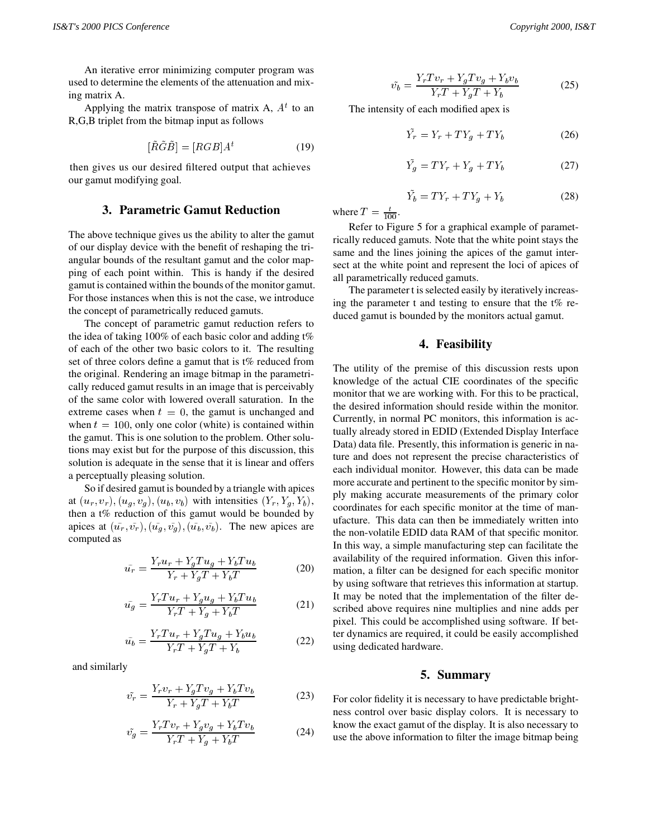An iterative error minimizing computer program was used to determine the elements of the attenuation and mixing matrix A.

Applying the matrix transpose of matrix A,  $A<sup>t</sup>$  to an R,G,B triplet from the bitmap input as follows

$$
[\tilde{R}\tilde{G}\tilde{B}] = [RGB]A^t \tag{19}
$$

then gives us our desired filtered output that achieves our gamut modifying goal.

## **3. Parametric Gamut Reduction**

The above technique gives us the ability to alter the gamut of our display device with the benefit of reshaping the triangular bounds of the resultant gamut and the color mapping of each point within. This is handy if the desired gamut is contained within the bounds of the monitor gamut. For those instances when this is not the case, we introduce the concept of parametrically reduced gamuts.

The concept of parametric gamut reduction refers to the idea of taking 100% of each basic color and adding t% of each of the other two basic colors to it. The resulting set of three colors define a gamut that is t% reduced from the original. Rendering an image bitmap in the parametrically reduced gamut results in an image that is perceivably of the same color with lowered overall saturation. In the extreme cases when  $t = 0$ , the gamut is unchanged and when  $t = 100$ , only one color (white) is contained within the gamut. This is one solution to the problem. Other solutions may exist but for the purpose of this discussion, this solution is adequate in the sense that it is linear and offers a perceptually pleasing solution.

So if desired gamut is bounded by a triangle with apices at  $(u_r, v_r)$ ,  $(u_q, v_q)$ ,  $(u_b, v_b)$  with intensities  $(Y_r, Y_q, Y_b)$ , then a t% reduction of this gamut would be bounded by apices at  $(\tilde{u}_r, \tilde{v}_r), (\tilde{u}_q, \tilde{v}_q), (\tilde{u}_b, \tilde{v}_b)$ . The new apices are computed as

$$
\tilde{u_r} = \frac{Y_r u_r + Y_g T u_g + Y_b T u_b}{Y_r + Y_g T + Y_b T}
$$
\n(20)

$$
\tilde{u_g} = \frac{Y_r T u_r + Y_g u_g + Y_b T u_b}{Y_r T + Y_g + Y_b T}
$$
\n(21)

$$
\tilde{u}_b = \frac{Y_r T u_r + Y_g T u_g + Y_b u_b}{Y_r T + Y_g T + Y_b} \tag{22}
$$

and similarly

$$
\tilde{v}_r = \frac{Y_r v_r + Y_g T v_g + Y_b T v_b}{Y_r + Y_g T + Y_b T}
$$
\n(23)

$$
\tilde{v}_g = \frac{Y_r T v_r + Y_g v_g + Y_b T v_b}{Y_r T + Y_g + Y_b T}
$$
\n(24)

$$
\tilde{v}_b = \frac{Y_r T v_r + Y_g T v_g + Y_b v_b}{Y_r T + Y_g T + Y_b} \tag{25}
$$

The intensity of each modified apex is

$$
\tilde{Y}_r = Y_r + TY_g + TY_b \tag{26}
$$

$$
\tilde{Y}_g = TY_r + Y_g + TY_b \tag{27}
$$

$$
\tilde{Y}_b = TY_r + TY_g + Y_b \tag{28}
$$

where  $T = \frac{t}{100}$ .

Refer to Figure 5 for a graphical example of parametrically reduced gamuts. Note that the white point stays the same and the lines joining the apices of the gamut intersect at the white point and represent the loci of apices of all parametrically reduced gamuts.

The parameter t is selected easily by iteratively increasing the parameter t and testing to ensure that the  $t\%$  reduced gamut is bounded by the monitors actual gamut.

## **4. Feasibility**

The utility of the premise of this discussion rests upon knowledge of the actual CIE coordinates of the specific monitor that we are working with. For this to be practical, the desired information should reside within the monitor. Currently, in normal PC monitors, this information is actually already stored in EDID (Extended Display Interface Data) data file. Presently, this information is generic in nature and does not represent the precise characteristics of each individual monitor. However, this data can be made more accurate and pertinent to the specific monitor by simply making accurate measurements of the primary color coordinates for each specific monitor at the time of manufacture. This data can then be immediately written into the non-volatile EDID data RAM of that specific monitor. In this way, a simple manufacturing step can facilitate the availability of the required information. Given this information, a filter can be designed for each specific monitor by using software that retrieves this information at startup. It may be noted that the implementation of the filter described above requires nine multiplies and nine adds per pixel. This could be accomplished using software. If better dynamics are required, it could be easily accomplished using dedicated hardware.

### **5. Summary**

For color fidelity it is necessary to have predictable brightness control over basic display colors. It is necessary to know the exact gamut of the display. It is also necessary to use the above information to filter the image bitmap being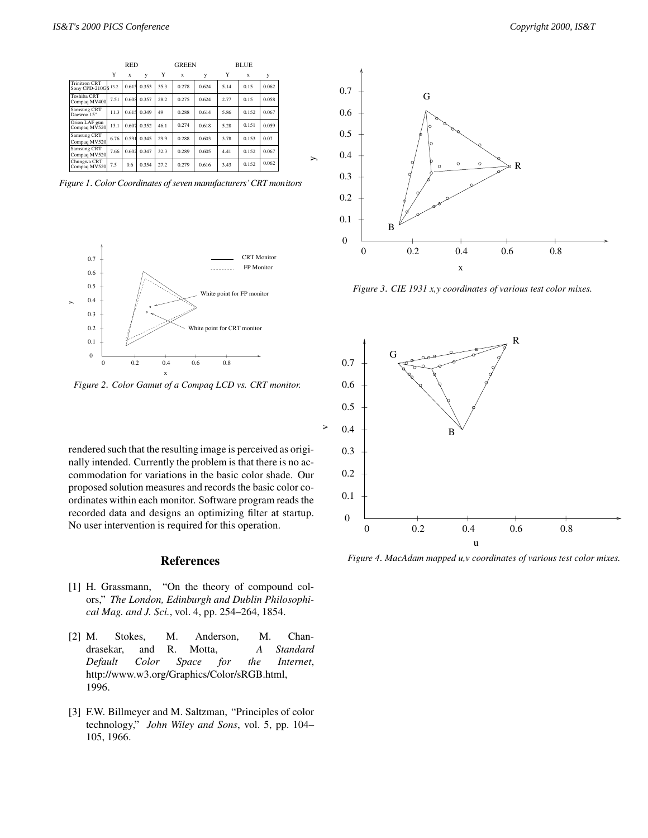|                                                        | RED  |             |       |      | <b>GREEN</b> |       |      | <b>BLUE</b> |       |  |
|--------------------------------------------------------|------|-------------|-------|------|--------------|-------|------|-------------|-------|--|
|                                                        | Y    | $\mathbf x$ | y     | Y    | X            | y     | Y    | X           | y     |  |
| <b>Trinitron CRT</b><br>Sony CPD-210GS <sup>13.2</sup> |      | 0.615       | 0.353 | 35.3 | 0.278        | 0.624 | 5.14 | 0.15        | 0.062 |  |
| Toshiba CRT<br>Compaq MV400                            | 7.51 | 0.608       | 0.357 | 28.2 | 0.275        | 0.624 | 2.77 | 0.15        | 0.058 |  |
| Samsung CRT<br>Daewoo 15"                              | 11.3 | 0.615       | 0.349 | 49   | 0.288        | 0.614 | 5.86 | 0.152       | 0.067 |  |
| Orion LAF gun<br>Compaq MV520                          | 13.1 | 0.607       | 0.352 | 46.1 | 0.274        | 0.618 | 5.28 | 0.151       | 0.059 |  |
| Samsung CRT<br>Compag MV520                            | 6.76 | 0.591       | 0.345 | 29.9 | 0.288        | 0.603 | 3.78 | 0.153       | 0.07  |  |
| Samsung CRT<br>Compaq MV520                            | 7.66 | 0.602       | 0.347 | 32.3 | 0.289        | 0.605 | 4.41 | 0.152       | 0.067 |  |
| Chungwa CRT<br>Compaq MV520                            | 7.5  | 0.6         | 0.354 | 27.2 | 0.279        | 0.616 | 3.43 | 0.152       | 0.062 |  |

*Figure 1*. *Color Coordinates of seven manufacturers' CRT monitors*



*Figure 2*. *Color Gamut of a Compaq LCD vs. CRT monitor.*

rendered such that the resulting image is perceived as originally intended. Currently the problem is that there is no accommodation for variations in the basic color shade. Our proposed solution measures and records the basic color coordinates within each monitor. Software program reads the recorded data and designs an optimizing filter at startup. No user intervention is required for this operation.

### **References**

- [1] H. Grassmann, "On the theory of compound colors," *The London, Edinburgh and Dublin Philosophical Mag. and J. Sci.*, vol. 4, pp. 254–264, 1854.
- [2] M. Stokes, M. Anderson, M. Chandrasekar, and R. Motta, *A Standard Default Color Space for the Internet*, http://www.w3.org/Graphics/Color/sRGB.html, 1996.
- [3] F.W. Billmeyer and M. Saltzman, "Principles of color technology," *John Wiley and Sons*, vol. 5, pp. 104– 105, 1966.



*Figure 3*. *CIE 1931 x,y coordinates of various test color mixes.*



*Figure 4*. *MacAdam mapped u,v coordinates of various test color mixes.*